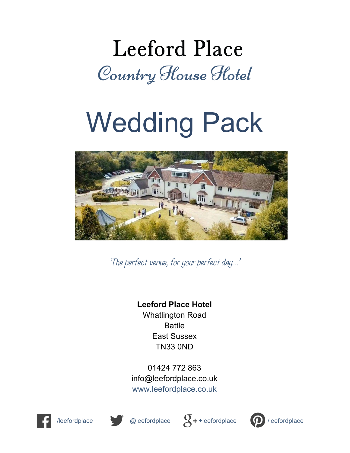## **Leeford Place** Country House Hotel

# Wedding Pack



'The perfect venue, for your perfect day…'

### **Leeford Place Hotel**

Whatlington Road Battle East Sussex TN33 0ND

01424 772 863 info@leefordplace.co.uk www.leefordplace.co.uk









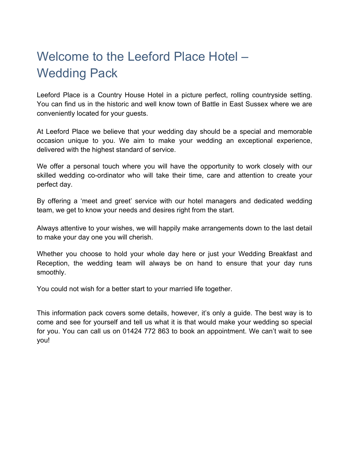### Welcome to the Leeford Place Hotel – Wedding Pack

Leeford Place is a Country House Hotel in a picture perfect, rolling countryside setting. You can find us in the historic and well know town of Battle in East Sussex where we are conveniently located for your guests.

At Leeford Place we believe that your wedding day should be a special and memorable occasion unique to you. We aim to make your wedding an exceptional experience, delivered with the highest standard of service.

We offer a personal touch where you will have the opportunity to work closely with our skilled wedding co-ordinator who will take their time, care and attention to create your perfect day.

By offering a 'meet and greet' service with our hotel managers and dedicated wedding team, we get to know your needs and desires right from the start.

Always attentive to your wishes, we will happily make arrangements down to the last detail to make your day one you will cherish.

Whether you choose to hold your whole day here or just your Wedding Breakfast and Reception, the wedding team will always be on hand to ensure that your day runs smoothly.

You could not wish for a better start to your married life together.

This information pack covers some details, however, it's only a guide. The best way is to come and see for yourself and tell us what it is that would make your wedding so special for you. You can call us on 01424 772 863 to book an appointment. We can't wait to see you!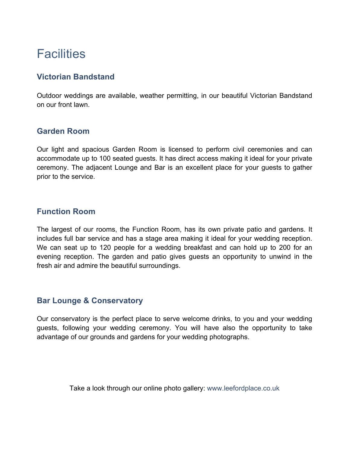### **Facilities**

#### **Victorian Bandstand**

Outdoor weddings are available, weather permitting, in our beautiful Victorian Bandstand on our front lawn.

#### **Garden Room**

Our light and spacious Garden Room is licensed to perform civil ceremonies and can accommodate up to 100 seated guests. It has direct access making it ideal for your private ceremony. The adjacent Lounge and Bar is an excellent place for your guests to gather prior to the service.

#### **Function Room**

The largest of our rooms, the Function Room, has its own private patio and gardens. It includes full bar service and has a stage area making it ideal for your wedding reception. We can seat up to 120 people for a wedding breakfast and can hold up to 200 for an evening reception. The garden and patio gives guests an opportunity to unwind in the fresh air and admire the beautiful surroundings.

#### **Bar Lounge & Conservatory**

Our conservatory is the perfect place to serve welcome drinks, to you and your wedding guests, following your wedding ceremony. You will have also the opportunity to take advantage of our grounds and gardens for your wedding photographs.

Take a look through our online photo gallery: www.leefordplace.co.uk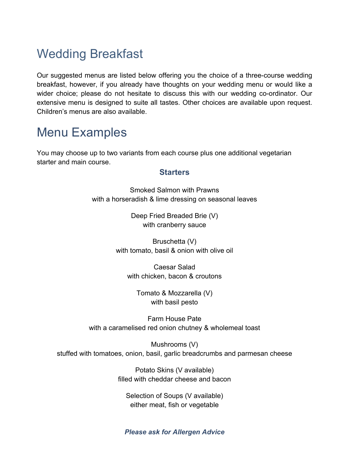### Wedding Breakfast

Our suggested menus are listed below offering you the choice of a three-course wedding breakfast, however, if you already have thoughts on your wedding menu or would like a wider choice; please do not hesitate to discuss this with our wedding co-ordinator. Our extensive menu is designed to suite all tastes. Other choices are available upon request. Children's menus are also available.

### Menu Examples

You may choose up to two variants from each course plus one additional vegetarian starter and main course.

#### **Starters**

Smoked Salmon with Prawns with a horseradish & lime dressing on seasonal leaves

> Deep Fried Breaded Brie (V) with cranberry sauce

Bruschetta (V) with tomato, basil & onion with olive oil

Caesar Salad with chicken, bacon & croutons

Tomato & Mozzarella (V) with basil pesto

Farm House Pate with a caramelised red onion chutney & wholemeal toast

Mushrooms (V) stuffed with tomatoes, onion, basil, garlic breadcrumbs and parmesan cheese

> Potato Skins (V available) filled with cheddar cheese and bacon

Selection of Soups (V available) either meat, fish or vegetable

#### *Please ask for Allergen Advice*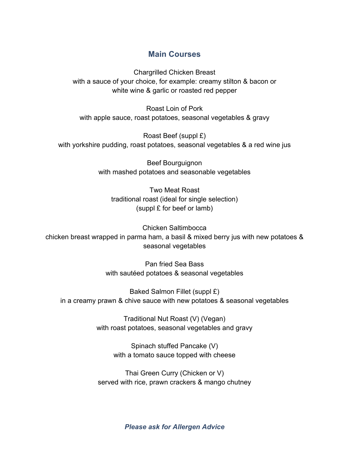#### **Main Courses**

Chargrilled Chicken Breast with a sauce of your choice, for example: creamy stilton & bacon or white wine & garlic or roasted red pepper

Roast Loin of Pork with apple sauce, roast potatoes, seasonal vegetables & gravy

Roast Beef (suppl £) with yorkshire pudding, roast potatoes, seasonal vegetables & a red wine jus

> Beef Bourguignon with mashed potatoes and seasonable vegetables

Two Meat Roast traditional roast (ideal for single selection) (suppl £ for beef or lamb)

Chicken Saltimbocca chicken breast wrapped in parma ham, a basil & mixed berry jus with new potatoes & seasonal vegetables

> Pan fried Sea Bass with sautéed potatoes & seasonal vegetables

Baked Salmon Fillet (suppl £) in a creamy prawn & chive sauce with new potatoes & seasonal vegetables

> Traditional Nut Roast (V) (Vegan) with roast potatoes, seasonal vegetables and gravy

> > Spinach stuffed Pancake (V) with a tomato sauce topped with cheese

Thai Green Curry (Chicken or V) served with rice, prawn crackers & mango chutney

*Please ask for Allergen Advice*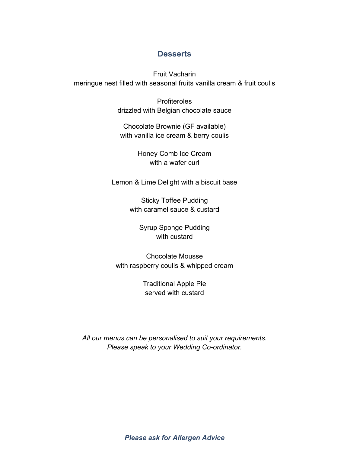#### **Desserts**

Fruit Vacharin meringue nest filled with seasonal fruits vanilla cream & fruit coulis

> **Profiteroles** drizzled with Belgian chocolate sauce

Chocolate Brownie (GF available) with vanilla ice cream & berry coulis

> Honey Comb Ice Cream with a wafer curl

Lemon & Lime Delight with a biscuit base

Sticky Toffee Pudding with caramel sauce & custard

> Syrup Sponge Pudding with custard

Chocolate Mousse with raspberry coulis & whipped cream

> Traditional Apple Pie served with custard

*All our menus can be personalised to suit your requirements. Please speak to your Wedding Co-ordinator.*

*Please ask for Allergen Advice*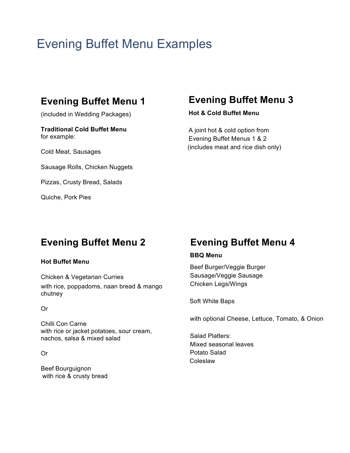### Evening Buffet Menu Examples

### **Evening Buffet Menu 1**

(included in Wedding Packages)

**Traditional Cold Buffet Menu** for example:

Cold Meat, Sausages

Sausage Rolls, Chicken Nuggets

Pizzas, Crusty Bread, Salads

Quiche, Pork Pies

#### **Evening Buffet Menu 3**

**Hot & Cold Buffet Menu**

A joint hot & cold option from Evening Buffet Menus 1 & 2 (includes meat and rice dish only)

### **Evening Buffet Menu 2**

#### **Hot Buffet Menu**

Chicken & Vegetarian Curries with rice, poppadoms, naan bread & mango chutney

Or

Chilli Con Carne with rice or jacket potatoes, sour cream, nachos, salsa & mixed salad

Or

Beef Bourguignon with rice & crusty bread

### **Evening Buffet Menu 4**

#### **BBQ Menu**

Beef Burger/Veggie Burger Sausage/Veggie Sausage Chicken Legs/Wings

Soft White Baps

with optional Cheese, Lettuce, Tomato, & Onion

Salad Platters: Mixed seasonal leaves Potato Salad Coleslaw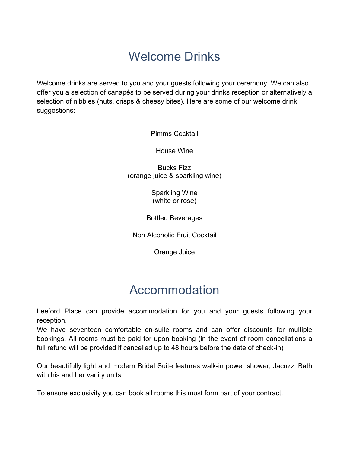### Welcome Drinks

Welcome drinks are served to you and your guests following your ceremony. We can also offer you a selection of canapés to be served during your drinks reception or alternatively a selection of nibbles (nuts, crisps & cheesy bites). Here are some of our welcome drink suggestions:

Pimms Cocktail

House Wine

Bucks Fizz (orange juice & sparkling wine)

> Sparkling Wine (white or rose)

Bottled Beverages

Non Alcoholic Fruit Cocktail

Orange Juice

### Accommodation

Leeford Place can provide accommodation for you and your guests following your reception.

We have seventeen comfortable en-suite rooms and can offer discounts for multiple bookings. All rooms must be paid for upon booking (in the event of room cancellations a full refund will be provided if cancelled up to 48 hours before the date of check-in)

Our beautifully light and modern Bridal Suite features walk-in power shower, Jacuzzi Bath with his and her vanity units.

To ensure exclusivity you can book all rooms this must form part of your contract.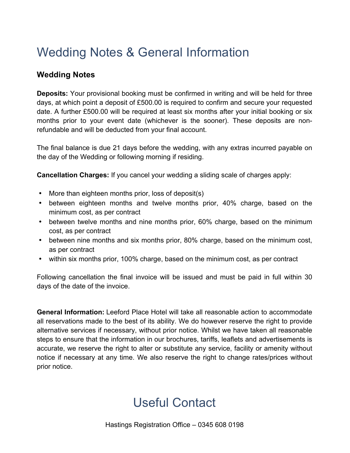### Wedding Notes & General Information

#### **Wedding Notes**

**Deposits:** Your provisional booking must be confirmed in writing and will be held for three days, at which point a deposit of £500.00 is required to confirm and secure your requested date. A further £500.00 will be required at least six months after your initial booking or six months prior to your event date (whichever is the sooner). These deposits are nonrefundable and will be deducted from your final account.

The final balance is due 21 days before the wedding, with any extras incurred payable on the day of the Wedding or following morning if residing.

**Cancellation Charges:** If you cancel your wedding a sliding scale of charges apply:

- More than eighteen months prior, loss of deposit(s)
- between eighteen months and twelve months prior, 40% charge, based on the minimum cost, as per contract
- between twelve months and nine months prior, 60% charge, based on the minimum cost, as per contract
- between nine months and six months prior, 80% charge, based on the minimum cost, as per contract
- within six months prior, 100% charge, based on the minimum cost, as per contract

Following cancellation the final invoice will be issued and must be paid in full within 30 days of the date of the invoice.

**General Information:** Leeford Place Hotel will take all reasonable action to accommodate all reservations made to the best of its ability. We do however reserve the right to provide alternative services if necessary, without prior notice. Whilst we have taken all reasonable steps to ensure that the information in our brochures, tariffs, leaflets and advertisements is accurate, we reserve the right to alter or substitute any service, facility or amenity without notice if necessary at any time. We also reserve the right to change rates/prices without prior notice.

### Useful Contact

Hastings Registration Office – 0345 608 0198